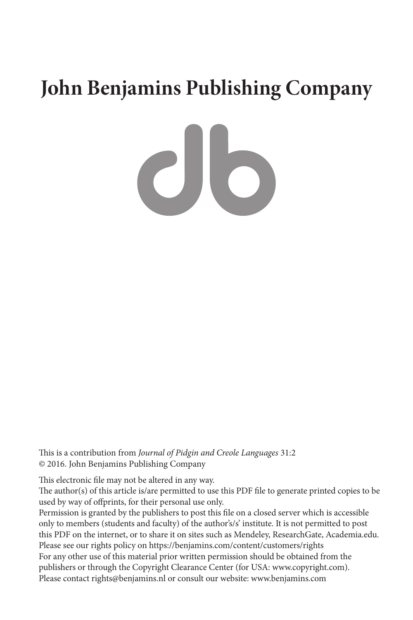# **John Benjamins Publishing Company**

 $c$ lo

This is a contribution from *Journal of Pidgin and Creole Languages* 31:2 © 2016. John Benjamins Publishing Company

This electronic file may not be altered in any way.

The author(s) of this article is/are permitted to use this PDF file to generate printed copies to be used by way of offprints, for their personal use only.

Permission is granted by the publishers to post this file on a closed server which is accessible only to members (students and faculty) of the author's/s' institute. It is not permitted to post this PDF on the internet, or to share it on sites such as Mendeley, ResearchGate, Academia.edu. Please see our rights policy on https://benjamins.com/content/customers/rights For any other use of this material prior written permission should be obtained from the publishers or through the Copyright Clearance Center (for USA: [www.copyright.com](http://www.copyright.com)). Please contact [rights@benjamins.nl](mailto:rights@benjamins.nl) or consult our website: [www.benjamins.com](http://www.benjamins.com)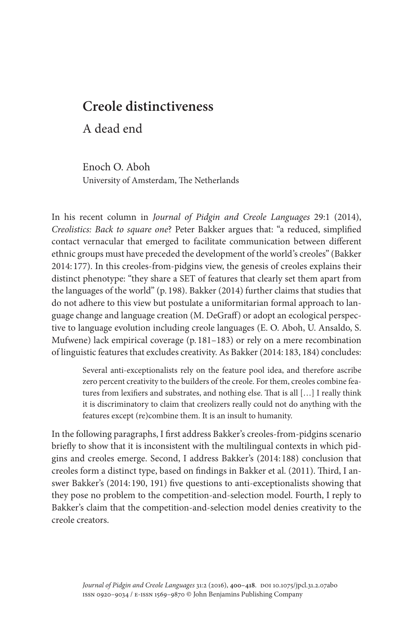# **Creole distinctiveness**

A dead end

Enoch O. Aboh University of Amsterdam, The Netherlands

In his recent column in *Journal of Pidgin and Creole Languages* 29:1 (2014), *Creolistics: Back to square one*? Peter Bakker argues that: "a reduced, simplified contact vernacular that emerged to facilitate communication between different ethnic groups must have preceded the development of the world's creoles" (Bakker 2014: 177). In this creoles-from-pidgins view, the genesis of creoles explains their distinct phenotype: "they share a SET of features that clearly set them apart from the languages of the world" (p. 198). Bakker (2014) further claims that studies that do not adhere to this view but postulate a uniformitarian formal approach to language change and language creation (M. DeGraff) or adopt an ecological perspective to language evolution including creole languages (E. O. Aboh, U. Ansaldo, S. Mufwene) lack empirical coverage (p. 181–183) or rely on a mere recombination of linguistic features that excludes creativity. As Bakker (2014: 183, 184) concludes:

> Several anti-exceptionalists rely on the feature pool idea, and therefore ascribe zero percent creativity to the builders of the creole. For them, creoles combine features from lexifiers and substrates, and nothing else. That is all […] I really think it is discriminatory to claim that creolizers really could not do anything with the features except (re)combine them. It is an insult to humanity.

In the following paragraphs, I first address Bakker's creoles-from-pidgins scenario briefly to show that it is inconsistent with the multilingual contexts in which pidgins and creoles emerge. Second, I address Bakker's (2014: 188) conclusion that creoles form a distinct type, based on findings in Bakker et al. (2011). Third, I answer Bakker's (2014: 190, 191) five questions to anti-exceptionalists showing that they pose no problem to the competition-and-selection model. Fourth, I reply to Bakker's claim that the competition-and-selection model denies creativity to the creole creators.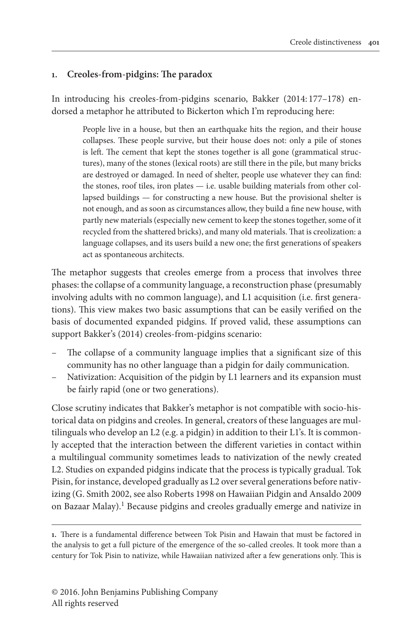## **1. Creoles-from-pidgins: The paradox**

In introducing his creoles-from-pidgins scenario, Bakker (2014: 177–178) endorsed a metaphor he attributed to Bickerton which I'm reproducing here:

> People live in a house, but then an earthquake hits the region, and their house collapses. These people survive, but their house does not: only a pile of stones is left. The cement that kept the stones together is all gone (grammatical structures), many of the stones (lexical roots) are still there in the pile, but many bricks are destroyed or damaged. In need of shelter, people use whatever they can find: the stones, roof tiles, iron plates — i.e. usable building materials from other collapsed buildings — for constructing a new house. But the provisional shelter is not enough, and as soon as circumstances allow, they build a fine new house, with partly new materials (especially new cement to keep the stones together, some of it recycled from the shattered bricks), and many old materials. That is creolization: a language collapses, and its users build a new one; the first generations of speakers act as spontaneous architects.

The metaphor suggests that creoles emerge from a process that involves three phases: the collapse of a community language, a reconstruction phase (presumably involving adults with no common language), and L1 acquisition (i.e. first generations). This view makes two basic assumptions that can be easily verified on the basis of documented expanded pidgins. If proved valid, these assumptions can support Bakker's (2014) creoles-from-pidgins scenario:

- The collapse of a community language implies that a significant size of this community has no other language than a pidgin for daily communication.
- Nativization: Acquisition of the pidgin by L1 learners and its expansion must be fairly rapid (one or two generations).

Close scrutiny indicates that Bakker's metaphor is not compatible with socio-historical data on pidgins and creoles. In general, creators of these languages are multilinguals who develop an L2 (e.g. a pidgin) in addition to their L1's. It is commonly accepted that the interaction between the different varieties in contact within a multilingual community sometimes leads to nativization of the newly created L2. Studies on expanded pidgins indicate that the process is typically gradual. Tok Pisin, for instance, developed gradually as L2 over several generations before nativizing (G. Smith 2002, see also Roberts 1998 on Hawaiian Pidgin and Ansaldo 2009 on Bazaar Malay).<sup>1</sup> Because pidgins and creoles gradually emerge and nativize in

**<sup>1.</sup>** There is a fundamental difference between Tok Pisin and Hawain that must be factored in the analysis to get a full picture of the emergence of the so-called creoles. It took more than a century for Tok Pisin to nativize, while Hawaiian nativized after a few generations only. This is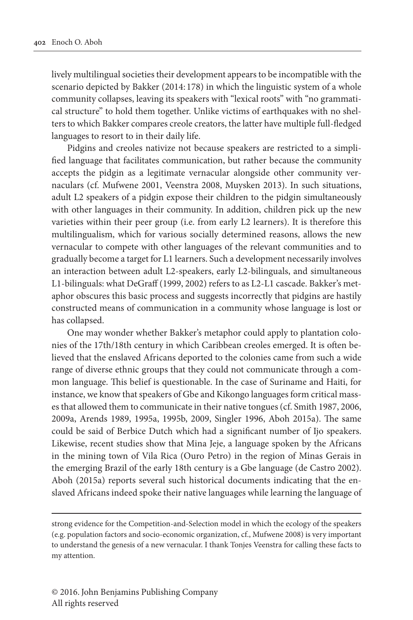lively multilingual societies their development appears to be incompatible with the scenario depicted by Bakker (2014: 178) in which the linguistic system of a whole community collapses, leaving its speakers with "lexical roots" with "no grammatical structure" to hold them together. Unlike victims of earthquakes with no shelters to which Bakker compares creole creators, the latter have multiple full-fledged languages to resort to in their daily life.

Pidgins and creoles nativize not because speakers are restricted to a simplified language that facilitates communication, but rather because the community accepts the pidgin as a legitimate vernacular alongside other community vernaculars (cf. Mufwene 2001, Veenstra 2008, Muysken 2013). In such situations, adult L2 speakers of a pidgin expose their children to the pidgin simultaneously with other languages in their community. In addition, children pick up the new varieties within their peer group (i.e. from early L2 learners). It is therefore this multilingualism, which for various socially determined reasons, allows the new vernacular to compete with other languages of the relevant communities and to gradually become a target for L1 learners. Such a development necessarily involves an interaction between adult L2-speakers, early L2-bilinguals, and simultaneous L1-bilinguals: what DeGraff (1999, 2002) refers to as L2-L1 cascade. Bakker's metaphor obscures this basic process and suggests incorrectly that pidgins are hastily constructed means of communication in a community whose language is lost or has collapsed.

One may wonder whether Bakker's metaphor could apply to plantation colonies of the 17th/18th century in which Caribbean creoles emerged. It is often believed that the enslaved Africans deported to the colonies came from such a wide range of diverse ethnic groups that they could not communicate through a common language. This belief is questionable. In the case of Suriname and Haiti, for instance, we know that speakers of Gbe and Kikongo languages form critical masses that allowed them to communicate in their native tongues (cf. Smith 1987, 2006, 2009a, Arends 1989, 1995a, 1995b, 2009, Singler 1996, Aboh 2015a). The same could be said of Berbice Dutch which had a significant number of Ijo speakers. Likewise, recent studies show that Mina Jeje, a language spoken by the Africans in the mining town of Vila Rica (Ouro Petro) in the region of Minas Gerais in the emerging Brazil of the early 18th century is a Gbe language (de Castro 2002). Aboh (2015a) reports several such historical documents indicating that the enslaved Africans indeed spoke their native languages while learning the language of

strong evidence for the Competition-and-Selection model in which the ecology of the speakers (e.g. population factors and socio-economic organization, cf., Mufwene 2008) is very important to understand the genesis of a new vernacular. I thank Tonjes Veenstra for calling these facts to my attention.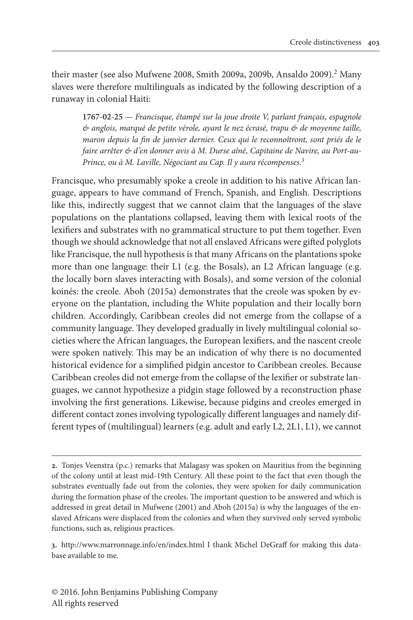their master (see also Mufwene 2008, Smith 2009a, 2009b, Ansaldo 2009).<sup>2</sup> Many slaves were therefore multilinguals as indicated by the following description of a runaway in colonial Haiti:

**1767-02-25** — *Francisque, étampé sur la joue droite V, parlant français, espagnole & anglois, marqué de petite vérole, ayant le nez écrasé, trapu & de moyenne taille, maron depuis la fin de janvier dernier. Ceux qui le reconnoîtront, sont priés de le faire arrêter & d'en donner avis à M. Durse aîné, Capitaine de Navire, au Port-au-Prince, ou à M. Laville, Négociant au Cap. Il y aura récompenses*. 3

Francisque, who presumably spoke a creole in addition to his native African language, appears to have command of French, Spanish, and English. Descriptions like this, indirectly suggest that we cannot claim that the languages of the slave populations on the plantations collapsed, leaving them with lexical roots of the lexifiers and substrates with no grammatical structure to put them together. Even though we should acknowledge that not all enslaved Africans were gifted polyglots like Francisque, the null hypothesis is that many Africans on the plantations spoke more than one language: their L1 (e.g. the Bosals), an L2 African language (e.g. the locally born slaves interacting with Bosals), and some version of the colonial koinés: the creole. Aboh (2015a) demonstrates that the creole was spoken by everyone on the plantation, including the White population and their locally born children. Accordingly, Caribbean creoles did not emerge from the collapse of a community language. They developed gradually in lively multilingual colonial societies where the African languages, the European lexifiers, and the nascent creole were spoken natively. This may be an indication of why there is no documented historical evidence for a simplified pidgin ancestor to Caribbean creoles. Because Caribbean creoles did not emerge from the collapse of the lexifier or substrate languages, we cannot hypothesize a pidgin stage followed by a reconstruction phase involving the first generations. Likewise, because pidgins and creoles emerged in different contact zones involving typologically different languages and namely different types of (multilingual) learners (e.g. adult and early L2, 2L1, L1), we cannot

**<sup>2.</sup>** Tonjes Veenstra (p.c.) remarks that Malagasy was spoken on Mauritius from the beginning of the colony until at least mid-19th Century. All these point to the fact that even though the substrates eventually fade out from the colonies, they were spoken for daily communication during the formation phase of the creoles. The important question to be answered and which is addressed in great detail in Mufwene (2001) and Aboh (2015a) is why the languages of the enslaved Africans were displaced from the colonies and when they survived only served symbolic functions, such as, religious practices.

**<sup>3.</sup>** <http://www.marronnage.info/en/index.html>I thank Michel DeGraff for making this database available to me.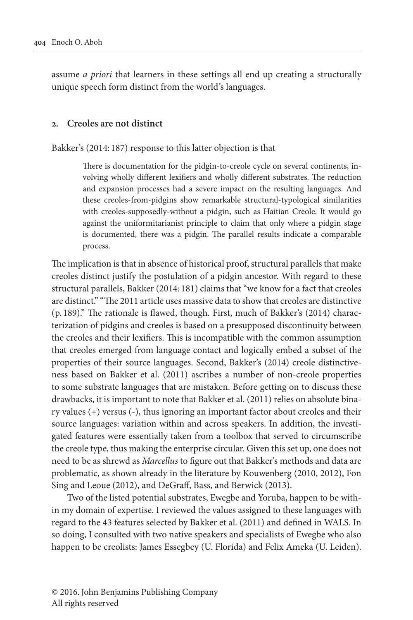assume *a priori* that learners in these settings all end up creating a structurally unique speech form distinct from the world's languages.

#### **2. Creoles are not distinct**

Bakker's (2014: 187) response to this latter objection is that

There is documentation for the pidgin-to-creole cycle on several continents, involving wholly different lexifiers and wholly different substrates. The reduction and expansion processes had a severe impact on the resulting languages. And these creoles-from-pidgins show remarkable structural-typological similarities with creoles-supposedly-without a pidgin, such as Haitian Creole. It would go against the uniformitarianist principle to claim that only where a pidgin stage is documented, there was a pidgin. The parallel results indicate a comparable process.

The implication is that in absence of historical proof, structural parallels that make creoles distinct justify the postulation of a pidgin ancestor. With regard to these structural parallels, Bakker (2014: 181) claims that "we know for a fact that creoles are distinct." "The 2011 article uses massive data to show that creoles are distinctive (p. 189)." The rationale is flawed, though. First, much of Bakker's (2014) characterization of pidgins and creoles is based on a presupposed discontinuity between the creoles and their lexifiers. This is incompatible with the common assumption that creoles emerged from language contact and logically embed a subset of the properties of their source languages. Second, Bakker's (2014) creole distinctiveness based on Bakker et al. (2011) ascribes a number of non-creole properties to some substrate languages that are mistaken. Before getting on to discuss these drawbacks, it is important to note that Bakker et al. (2011) relies on absolute binary values (+) versus (-), thus ignoring an important factor about creoles and their source languages: variation within and across speakers. In addition, the investigated features were essentially taken from a toolbox that served to circumscribe the creole type, thus making the enterprise circular. Given this set up, one does not need to be as shrewd as *Marcellus* to figure out that Bakker's methods and data are problematic, as shown already in the literature by Kouwenberg (2010, 2012), Fon Sing and Leoue (2012), and DeGraff, Bass, and Berwick (2013).

Two of the listed potential substrates, Ewegbe and Yoruba, happen to be within my domain of expertise. I reviewed the values assigned to these languages with regard to the 43 features selected by Bakker et al. (2011) and defined in WALS. In so doing, I consulted with two native speakers and specialists of Ewegbe who also happen to be creolists: James Essegbey (U. Florida) and Felix Ameka (U. Leiden).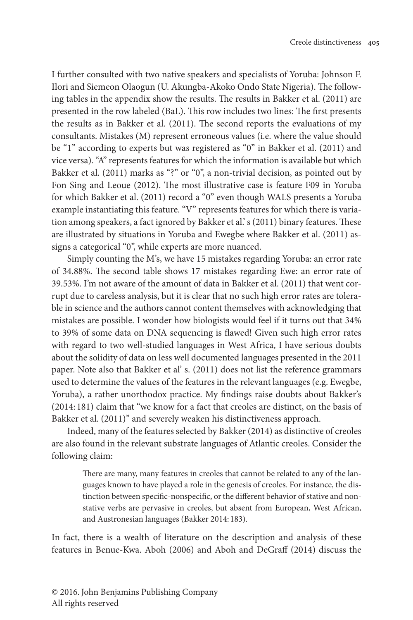I further consulted with two native speakers and specialists of Yoruba: Johnson F. Ilori and Siemeon Olaogun (U. Akungba-Akoko Ondo State Nigeria). The following tables in the appendix show the results. The results in Bakker et al. (2011) are presented in the row labeled (BaL). This row includes two lines: The first presents the results as in Bakker et al. (2011). The second reports the evaluations of my consultants. Mistakes (M) represent erroneous values (i.e. where the value should be "1" according to experts but was registered as "0" in Bakker et al. (2011) and vice versa). "A" represents features for which the information is available but which Bakker et al. (2011) marks as "?" or "0", a non-trivial decision, as pointed out by Fon Sing and Leoue (2012). The most illustrative case is feature F09 in Yoruba for which Bakker et al. (2011) record a "0" even though WALS presents a Yoruba example instantiating this feature. "V" represents features for which there is variation among speakers, a fact ignored by Bakker et al.' s (2011) binary features. These are illustrated by situations in Yoruba and Ewegbe where Bakker et al. (2011) assigns a categorical "0", while experts are more nuanced.

Simply counting the M's, we have 15 mistakes regarding Yoruba: an error rate of 34.88%. The second table shows 17 mistakes regarding Ewe: an error rate of 39.53%. I'm not aware of the amount of data in Bakker et al. (2011) that went corrupt due to careless analysis, but it is clear that no such high error rates are tolerable in science and the authors cannot content themselves with acknowledging that mistakes are possible. I wonder how biologists would feel if it turns out that 34% to 39% of some data on DNA sequencing is flawed! Given such high error rates with regard to two well-studied languages in West Africa, I have serious doubts about the solidity of data on less well documented languages presented in the 2011 paper. Note also that Bakker et al' s. (2011) does not list the reference grammars used to determine the values of the features in the relevant languages (e.g. Ewegbe, Yoruba), a rather unorthodox practice. My findings raise doubts about Bakker's (2014: 181) claim that "we know for a fact that creoles are distinct, on the basis of Bakker et al. (2011)" and severely weaken his distinctiveness approach.

Indeed, many of the features selected by Bakker (2014) as distinctive of creoles are also found in the relevant substrate languages of Atlantic creoles. Consider the following claim:

> There are many, many features in creoles that cannot be related to any of the languages known to have played a role in the genesis of creoles. For instance, the distinction between specific-nonspecific, or the different behavior of stative and nonstative verbs are pervasive in creoles, but absent from European, West African, and Austronesian languages (Bakker 2014: 183).

In fact, there is a wealth of literature on the description and analysis of these features in Benue-Kwa. Aboh (2006) and Aboh and DeGraff (2014) discuss the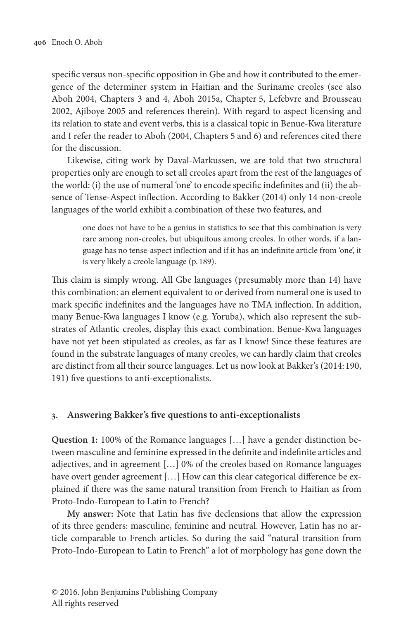specific versus non-specific opposition in Gbe and how it contributed to the emergence of the determiner system in Haitian and the Suriname creoles (see also Aboh 2004, Chapters 3 and 4, Aboh 2015a, Chapter 5, Lefebvre and Brousseau 2002, Ajiboye 2005 and references therein). With regard to aspect licensing and its relation to state and event verbs, this is a classical topic in Benue-Kwa literature and I refer the reader to Aboh (2004, Chapters 5 and 6) and references cited there for the discussion.

Likewise, citing work by Daval-Markussen, we are told that two structural properties only are enough to set all creoles apart from the rest of the languages of the world: (i) the use of numeral 'one' to encode specific indefinites and (ii) the absence of Tense-Aspect inflection. According to Bakker (2014) only 14 non-creole languages of the world exhibit a combination of these two features, and

one does not have to be a genius in statistics to see that this combination is very rare among non-creoles, but ubiquitous among creoles. In other words, if a language has no tense-aspect inflection and if it has an indefinite article from 'one', it is very likely a creole language (p. 189).

This claim is simply wrong. All Gbe languages (presumably more than 14) have this combination: an element equivalent to or derived from numeral one is used to mark specific indefinites and the languages have no TMA inflection. In addition, many Benue-Kwa languages I know (e.g. Yoruba), which also represent the substrates of Atlantic creoles, display this exact combination. Benue-Kwa languages have not yet been stipulated as creoles, as far as I know! Since these features are found in the substrate languages of many creoles, we can hardly claim that creoles are distinct from all their source languages. Let us now look at Bakker's (2014:190, 191) five questions to anti-exceptionalists.

#### **3. Answering Bakker's five questions to anti-exceptionalists**

**Question 1:** 100% of the Romance languages […] have a gender distinction between masculine and feminine expressed in the definite and indefinite articles and adjectives, and in agreement […] 0% of the creoles based on Romance languages have overt gender agreement [...] How can this clear categorical difference be explained if there was the same natural transition from French to Haitian as from Proto-Indo-European to Latin to French?

**My answer:** Note that Latin has five declensions that allow the expression of its three genders: masculine, feminine and neutral. However, Latin has no article comparable to French articles. So during the said "natural transition from Proto-Indo-European to Latin to French" a lot of morphology has gone down the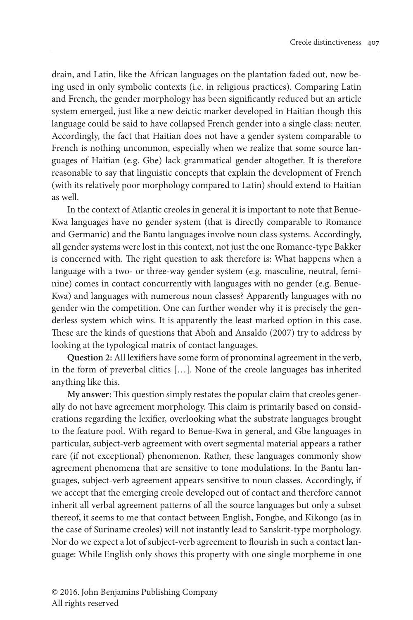drain, and Latin, like the African languages on the plantation faded out, now being used in only symbolic contexts (i.e. in religious practices). Comparing Latin and French, the gender morphology has been significantly reduced but an article system emerged, just like a new deictic marker developed in Haitian though this language could be said to have collapsed French gender into a single class: neuter. Accordingly, the fact that Haitian does not have a gender system comparable to French is nothing uncommon, especially when we realize that some source languages of Haitian (e.g. Gbe) lack grammatical gender altogether. It is therefore reasonable to say that linguistic concepts that explain the development of French (with its relatively poor morphology compared to Latin) should extend to Haitian as well.

In the context of Atlantic creoles in general it is important to note that Benue-Kwa languages have no gender system (that is directly comparable to Romance and Germanic) and the Bantu languages involve noun class systems. Accordingly, all gender systems were lost in this context, not just the one Romance-type Bakker is concerned with. The right question to ask therefore is: What happens when a language with a two- or three-way gender system (e.g. masculine, neutral, feminine) comes in contact concurrently with languages with no gender (e.g. Benue-Kwa) and languages with numerous noun classes? Apparently languages with no gender win the competition. One can further wonder why it is precisely the genderless system which wins. It is apparently the least marked option in this case. These are the kinds of questions that Aboh and Ansaldo (2007) try to address by looking at the typological matrix of contact languages.

**Question 2:** All lexifiers have some form of pronominal agreement in the verb, in the form of preverbal clitics […]. None of the creole languages has inherited anything like this.

**My answer:** This question simply restates the popular claim that creoles generally do not have agreement morphology. This claim is primarily based on considerations regarding the lexifier, overlooking what the substrate languages brought to the feature pool. With regard to Benue-Kwa in general, and Gbe languages in particular, subject-verb agreement with overt segmental material appears a rather rare (if not exceptional) phenomenon. Rather, these languages commonly show agreement phenomena that are sensitive to tone modulations. In the Bantu languages, subject-verb agreement appears sensitive to noun classes. Accordingly, if we accept that the emerging creole developed out of contact and therefore cannot inherit all verbal agreement patterns of all the source languages but only a subset thereof, it seems to me that contact between English, Fongbe, and Kikongo (as in the case of Suriname creoles) will not instantly lead to Sanskrit-type morphology. Nor do we expect a lot of subject-verb agreement to flourish in such a contact language: While English only shows this property with one single morpheme in one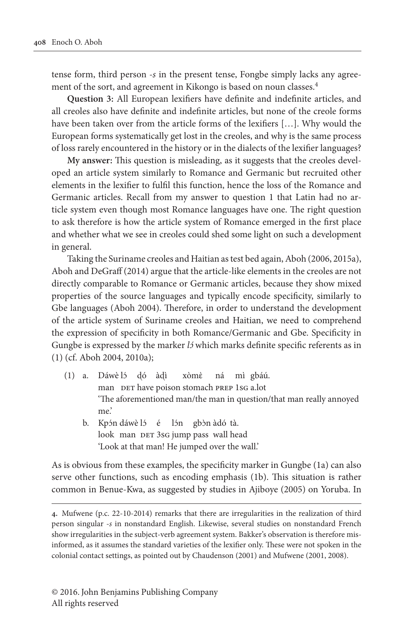tense form, third person *-s* in the present tense, Fongbe simply lacks any agreement of the sort, and agreement in Kikongo is based on noun classes.<sup>4</sup>

**Question 3:** All European lexifiers have definite and indefinite articles, and all creoles also have definite and indefinite articles, but none of the creole forms have been taken over from the article forms of the lexifiers […]. Why would the European forms systematically get lost in the creoles, and why is the same process of loss rarely encountered in the history or in the dialects of the lexifier languages?

**My answer:** This question is misleading, as it suggests that the creoles developed an article system similarly to Romance and Germanic but recruited other elements in the lexifier to fulfil this function, hence the loss of the Romance and Germanic articles. Recall from my answer to question 1 that Latin had no article system even though most Romance languages have one. The right question to ask therefore is how the article system of Romance emerged in the first place and whether what we see in creoles could shed some light on such a development in general.

Taking the Suriname creoles and Haitian as test bed again, Aboh (2006, 2015a), Aboh and DeGraff (2014) argue that the article-like elements in the creoles are not directly comparable to Romance or Germanic articles, because they show mixed properties of the source languages and typically encode specificity, similarly to Gbe languages (Aboh 2004). Therefore, in order to understand the development of the article system of Suriname creoles and Haitian, we need to comprehend the expression of specificity in both Romance/Germanic and Gbe. Specificity in Gungbe is expressed by the marker *lɔ́* which marks definite specific referents as in (1) (cf. Aboh 2004, 2010a);

- (1) a. Dáwè lá dó à dì xòmè ná mì gbáú. man DET have poison stomach PREP 1sG a.lot 'The aforementioned man/the man in question/that man really annoyed me.'
	- b. Kpɔ́n dáwè lɔ́ é lɔ́n gbɔ̀n àdó tà. look man DET 3sG jump pass wall head 'Look at that man! He jumped over the wall.'

As is obvious from these examples, the specificity marker in Gungbe (1a) can also serve other functions, such as encoding emphasis (1b). This situation is rather common in Benue-Kwa, as suggested by studies in Ajiboye (2005) on Yoruba. In

**<sup>4.</sup>** Mufwene (p.c. 22-10-2014) remarks that there are irregularities in the realization of third person singular *-s* in nonstandard English. Likewise, several studies on nonstandard French show irregularities in the subject-verb agreement system. Bakker's observation is therefore misinformed, as it assumes the standard varieties of the lexifier only. These were not spoken in the colonial contact settings, as pointed out by Chaudenson (2001) and Mufwene (2001, 2008).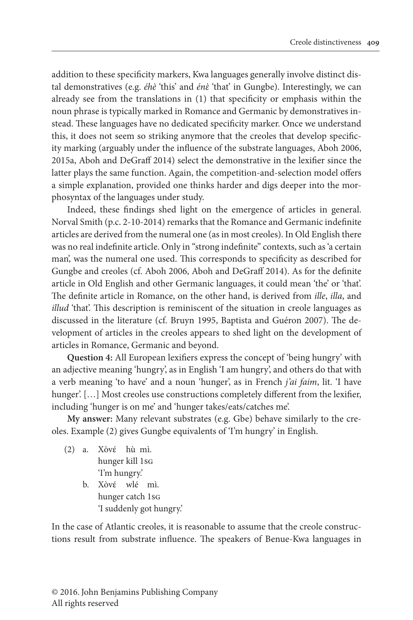addition to these specificity markers, Kwa languages generally involve distinct distal demonstratives (e.g. *éhè* 'this' and *énɛ̀* 'that' in Gungbe). Interestingly, we can already see from the translations in (1) that specificity or emphasis within the noun phrase is typically marked in Romance and Germanic by demonstratives instead. These languages have no dedicated specificity marker. Once we understand this, it does not seem so striking anymore that the creoles that develop specificity marking (arguably under the influence of the substrate languages, Aboh 2006, 2015a, Aboh and DeGraff 2014) select the demonstrative in the lexifier since the latter plays the same function. Again, the competition-and-selection model offers a simple explanation, provided one thinks harder and digs deeper into the morphosyntax of the languages under study.

Indeed, these findings shed light on the emergence of articles in general. Norval Smith (p.c. 2-10-2014) remarks that the Romance and Germanic indefinite articles are derived from the numeral one (as in most creoles). In Old English there was no real indefinite article. Only in "strong indefinite" contexts, such as 'a certain man', was the numeral one used. This corresponds to specificity as described for Gungbe and creoles (cf. Aboh 2006, Aboh and DeGraff 2014). As for the definite article in Old English and other Germanic languages, it could mean 'the' or 'that'. The definite article in Romance, on the other hand, is derived from *ille*, *illa*, and *illud* 'that'. This description is reminiscent of the situation in creole languages as discussed in the literature (cf. Bruyn 1995, Baptista and Guéron 2007). The development of articles in the creoles appears to shed light on the development of articles in Romance, Germanic and beyond.

**Question 4:** All European lexifiers express the concept of 'being hungry' with an adjective meaning 'hungry', as in English 'I am hungry', and others do that with a verb meaning 'to have' and a noun 'hunger', as in French *j'ai faim*, lit. 'I have hunger'. [...] Most creoles use constructions completely different from the lexifier, including 'hunger is on me' and 'hunger takes/eats/catches me'.

**My answer:** Many relevant substrates (e.g. Gbe) behave similarly to the creoles. Example (2) gives Gungbe equivalents of 'I'm hungry' in English.

- (2) a. Xòvɛ́ hù mì. hunger kill 1sg 'I'm hungry.'
	- b. Xòvé wlé mì. hunger catch 1sg 'I suddenly got hungry.'

In the case of Atlantic creoles, it is reasonable to assume that the creole constructions result from substrate influence. The speakers of Benue-Kwa languages in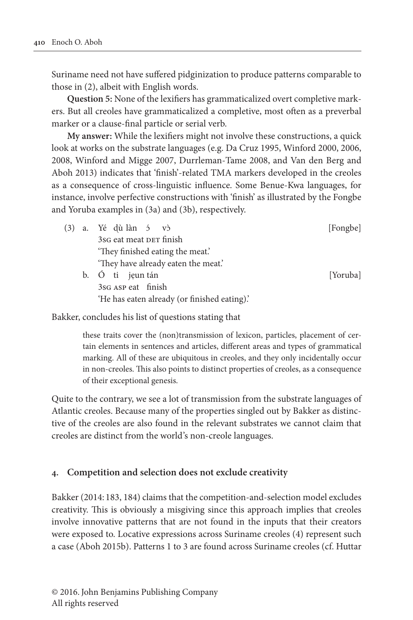Suriname need not have suffered pidginization to produce patterns comparable to those in (2), albeit with English words.

**Question 5:** None of the lexifiers has grammaticalized overt completive markers. But all creoles have grammaticalized a completive, most often as a preverbal marker or a clause-final particle or serial verb.

**My answer:** While the lexifiers might not involve these constructions, a quick look at works on the substrate languages (e.g. Da Cruz 1995, Winford 2000, 2006, 2008, Winford and Migge 2007, Durrleman-Tame 2008, and Van den Berg and Aboh 2013) indicates that 'finish'-related TMA markers developed in the creoles as a consequence of cross-linguistic influence. Some Benue-Kwa languages, for instance, involve perfective constructions with 'finish' as illustrated by the Fongbe and Yoruba examples in (3a) and (3b), respectively.

|  | (3) a. Yé dù làn 5 v5                        | [Fongbe] |
|--|----------------------------------------------|----------|
|  | 3sG eat meat DET finish                      |          |
|  | 'They finished eating the meat.'             |          |
|  | 'They have already eaten the meat.'          |          |
|  | b. Ó ti jeun tán                             | [Yoruba] |
|  | 3sG ASP eat finish                           |          |
|  | 'He has eaten already (or finished eating).' |          |

Bakker, concludes his list of questions stating that

these traits cover the (non)transmission of lexicon, particles, placement of certain elements in sentences and articles, different areas and types of grammatical marking. All of these are ubiquitous in creoles, and they only incidentally occur in non-creoles. This also points to distinct properties of creoles, as a consequence of their exceptional genesis.

Quite to the contrary, we see a lot of transmission from the substrate languages of Atlantic creoles. Because many of the properties singled out by Bakker as distinctive of the creoles are also found in the relevant substrates we cannot claim that creoles are distinct from the world's non-creole languages.

#### **4. Competition and selection does not exclude creativity**

Bakker (2014: 183, 184) claims that the competition-and-selection model excludes creativity. This is obviously a misgiving since this approach implies that creoles involve innovative patterns that are not found in the inputs that their creators were exposed to. Locative expressions across Suriname creoles (4) represent such a case (Aboh 2015b). Patterns 1 to 3 are found across Suriname creoles (cf. Huttar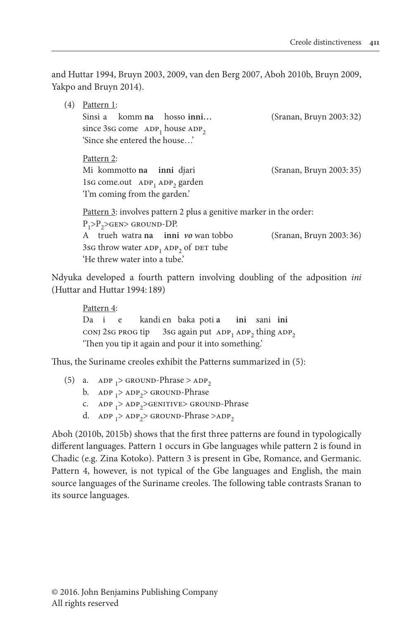and Huttar 1994, Bruyn 2003, 2009, van den Berg 2007, Aboh 2010b, Bruyn 2009, Yakpo and Bruyn 2014).

| (4) | Pattern 1:                                                                      |                          |
|-----|---------------------------------------------------------------------------------|--------------------------|
|     | Sinsi a komm na hosso inni                                                      | (Sranan, Bruyn 2003:32)  |
|     | since 3sG come $ADP_1$ house $ADP_2$                                            |                          |
|     | 'Since she entered the house'                                                   |                          |
|     | Pattern 2:                                                                      |                          |
|     | Mi kommotto na inni djari                                                       | (Sranan, Bruyn 2003: 35) |
|     | 1sG come.out ADP <sub>1</sub> ADP <sub>2</sub> garden                           |                          |
|     | 'I'm coming from the garden.'                                                   |                          |
|     | Pattern $\frac{3}{2}$ : involves pattern 2 plus a genitive marker in the order: |                          |
|     | $P_1 > P_2 > GEN > GROWND-DP.$                                                  |                          |
|     | trueh watra na inni vo wan tobbo<br>A                                           | (Sranan, Bruyn 2003: 36) |
|     | 3sG throw water $ADP_1 ADP_2$ of DET tube                                       |                          |
|     | 'He threw water into a tube.'                                                   |                          |

Ndyuka developed a fourth pattern involving doubling of the adposition *ini* (Huttar and Huttar 1994: 189)

 Pattern 4: Da i e kandi en baka poti **a ini** sani **ini** conj 2sg prog tip 3sg again put  $ADP_1 ADP_2$  thing  $ADP_2$ 'Then you tip it again and pour it into something.'

Thus, the Suriname creoles exhibit the Patterns summarized in (5):

(5) a. ADP  $_1$ > GROUND-Phrase > ADP<sub>2</sub> b. ADP  $_1$ > ADP  $_2$ > GROUND-Phrase c. ADP  $_1$ > ADP  $_2$ > GENITIVE> GROUND-Phrase d.  $ADP_1 > ADP_2 > GROWND-Phrase > ADP_2$ 

Aboh (2010b, 2015b) shows that the first three patterns are found in typologically different languages. Pattern 1 occurs in Gbe languages while pattern 2 is found in Chadic (e.g. Zina Kotoko). Pattern 3 is present in Gbe, Romance, and Germanic. Pattern 4, however, is not typical of the Gbe languages and English, the main source languages of the Suriname creoles. The following table contrasts Sranan to its source languages.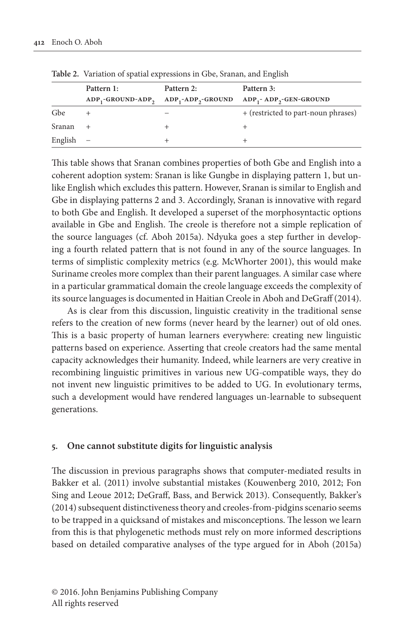|         | Pattern 1:               | Pattern 2:                                                         | Pattern 3:                                     |
|---------|--------------------------|--------------------------------------------------------------------|------------------------------------------------|
|         |                          | $ADP_1$ -GROUND-ADP <sub>2</sub> $ADP_1$ -ADP <sub>2</sub> -GROUND | ADP <sub>1</sub> -ADP <sub>2</sub> -GEN-GROUND |
| Gbe     |                          |                                                                    | + (restricted to part-noun phrases)            |
| Sranan  |                          |                                                                    |                                                |
| English | $\overline{\phantom{a}}$ |                                                                    |                                                |

**Table 2.** Variation of spatial expressions in Gbe, Sranan, and English

This table shows that Sranan combines properties of both Gbe and English into a coherent adoption system: Sranan is like Gungbe in displaying pattern 1, but unlike English which excludes this pattern. However, Sranan is similar to English and Gbe in displaying patterns 2 and 3. Accordingly, Sranan is innovative with regard to both Gbe and English. It developed a superset of the morphosyntactic options available in Gbe and English. The creole is therefore not a simple replication of the source languages (cf. Aboh 2015a). Ndyuka goes a step further in developing a fourth related pattern that is not found in any of the source languages. In terms of simplistic complexity metrics (e.g. McWhorter 2001), this would make Suriname creoles more complex than their parent languages. A similar case where in a particular grammatical domain the creole language exceeds the complexity of its source languages is documented in Haitian Creole in Aboh and DeGraff (2014).

As is clear from this discussion, linguistic creativity in the traditional sense refers to the creation of new forms (never heard by the learner) out of old ones. This is a basic property of human learners everywhere: creating new linguistic patterns based on experience. Asserting that creole creators had the same mental capacity acknowledges their humanity. Indeed, while learners are very creative in recombining linguistic primitives in various new UG-compatible ways, they do not invent new linguistic primitives to be added to UG. In evolutionary terms, such a development would have rendered languages un-learnable to subsequent generations.

#### **5. One cannot substitute digits for linguistic analysis**

The discussion in previous paragraphs shows that computer-mediated results in Bakker et al. (2011) involve substantial mistakes (Kouwenberg 2010, 2012; Fon Sing and Leoue 2012; DeGraff, Bass, and Berwick 2013). Consequently, Bakker's (2014) subsequent distinctiveness theory and creoles-from-pidgins scenario seems to be trapped in a quicksand of mistakes and misconceptions. The lesson we learn from this is that phylogenetic methods must rely on more informed descriptions based on detailed comparative analyses of the type argued for in Aboh (2015a)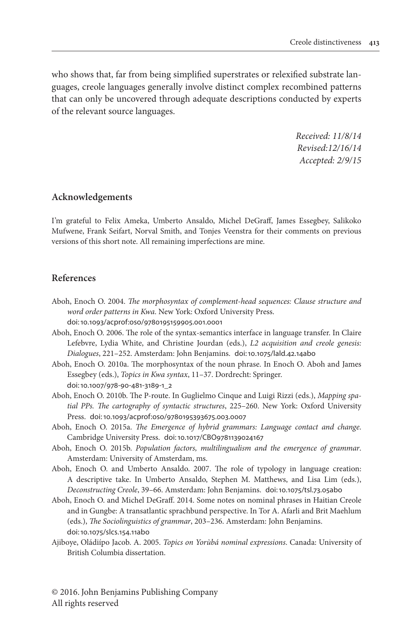who shows that, far from being simplified superstrates or relexified substrate languages, creole languages generally involve distinct complex recombined patterns that can only be uncovered through adequate descriptions conducted by experts of the relevant source languages.

> *Received: 11/8/14 Revised:12/16/14 Accepted: 2/9/15*

#### **Acknowledgements**

I'm grateful to Felix Ameka, Umberto Ansaldo, Michel DeGraff, James Essegbey, Salikoko Mufwene, Frank Seifart, Norval Smith, and Tonjes Veenstra for their comments on previous versions of this short note. All remaining imperfections are mine.

#### **References**

- Aboh, Enoch O. 2004. *The morphosyntax of complement-head sequences: Clause structure and word order patterns in Kwa*. New York: Oxford University Press. doi:[10.1093/acprof:oso/9780195159905.001.0001](http://dx.doi.org/10.1093/acprof:oso/9780195159905.001.0001)
- Aboh, Enoch O. 2006. The role of the syntax-semantics interface in language transfer. In Claire Lefebvre, Lydia White, and Christine Jourdan (eds.), *L2 acquisition and creole genesis: Dialogues*, 221–252. Amsterdam: John Benjamins. doi:[10.1075/lald.42.14abo](http://dx.doi.org/10.1075/lald.42.14abo)
- Aboh, Enoch O. 2010a. The morphosyntax of the noun phrase. In Enoch O. Aboh and James Essegbey (eds.), *Topics in Kwa syntax*, 11–37. Dordrecht: Springer. doi:[10.1007/978-90-481-3189-1\\_2](http://dx.doi.org/10.1007/978-90-481-3189-1_2)
- Aboh, Enoch O. 2010b. The P-route. In Guglielmo Cinque and Luigi Rizzi (eds.), *Mapping spatial PPs. The cartography of syntactic structures*, 225–260. New York: Oxford University Press. doi:[10.1093/acprof:oso/9780195393675.003.0007](http://dx.doi.org/10.1093/acprof:oso/9780195393675.003.0007)
- Aboh, Enoch O. 2015a. *The Emergence of hybrid grammars: Language contact and change*. Cambridge University Press. doi:[10.1017/CBO9781139024167](http://dx.doi.org/10.1017/CBO9781139024167)
- Aboh, Enoch O. 2015b. *Population factors, multilingualism and the emergence of grammar*. Amsterdam: University of Amsterdam, ms.
- Aboh, Enoch O. and Umberto Ansaldo. 2007. The role of typology in language creation: A descriptive take. In Umberto Ansaldo, Stephen M. Matthews, and Lisa Lim (eds.), *Deconstructing Creole*, 39–66. Amsterdam: John Benjamins. doi:[10.1075/tsl.73.05abo](http://dx.doi.org/10.1075/tsl.73.05abo)
- Aboh, Enoch O. and Michel DeGraff. 2014. Some notes on nominal phrases in Haitian Creole and in Gungbe: A transatlantic sprachbund perspective. In Tor A. Afarli and Brit Maehlum (eds.), *The Sociolinguistics of grammar*, 203–236. Amsterdam: John Benjamins. doi:[10.1075/slcs.154.11abo](http://dx.doi.org/10.1075/slcs.154.11abo)
- Ajiboye, Oládiípo Jacob. A. 2005. *Topics on Yorùbá nominal expressions*. Canada: University of British Columbia dissertation.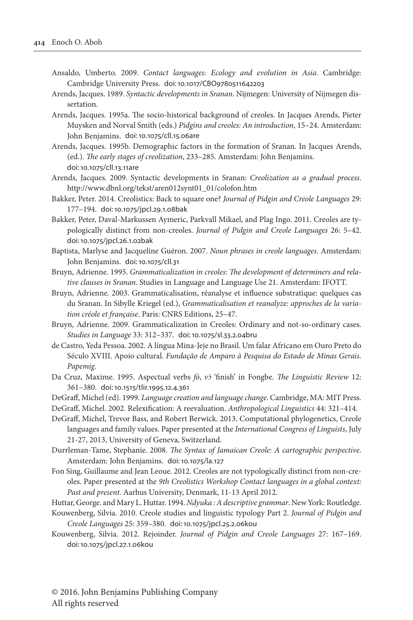- Ansaldo, Umberto. 2009. *Contact languages: Ecology and evolution in Asia*. Cambridge: Cambridge University Press. doi:[10.1017/CBO9780511642203](http://dx.doi.org/10.1017/CBO9780511642203)
- Arends, Jacques. 1989. *Syntactic developments in Sranan*. Nijmegen: University of Nijmegen dissertation.
- Arends, Jacques. 1995a. The socio-historical background of creoles. In Jacques Arends, Pieter Muysken and Norval Smith (eds.) *Pidgins and creoles: An introduction*, 15–24. Amsterdam: John Benjamins. doi:[10.1075/cll.15.06are](http://dx.doi.org/10.1075/cll.15.06are)
- Arends, Jacques. 1995b. Demographic factors in the formation of Sranan. In Jacques Arends, (ed.). *The early stages of creolization*, 233–285. Amsterdam: John Benjamins. doi:[10.1075/cll.13.11are](http://dx.doi.org/10.1075/cll.13.11are)
- Arends, Jacques. 2009. Syntactic developments in Sranan: *Creolization as a gradual process*. [http://www.dbnl.org/tekst/aren012synt01\\_01/colofon.htm](http://www.dbnl.org/tekst/aren012synt01_01/colofon.htm)
- Bakker, Peter. 2014. Creolistics: Back to square one? *Journal of Pidgin and Creole Languages* 29: 177–194. doi:[10.1075/jpcl.29.1.08bak](http://dx.doi.org/10.1075/jpcl.29.1.08bak)
- Bakker, Peter, Daval-Markussen Aymeric, Parkvall Mikael, and Plag Ingo. 2011. Creoles are typologically distinct from non-creoles. *Journal of Pidgin and Creole Languages* 26: 5–42. doi:[10.1075/jpcl.26.1.02bak](http://dx.doi.org/10.1075/jpcl.26.1.02bak)
- Baptista, Marlyse and Jacqueline Guéron. 2007. *Noun phrases in creole languages*. Amsterdam: John Benjamins. doi:[10.1075/cll.31](http://dx.doi.org/10.1075/cll.31)
- Bruyn, Adrienne. 1995. *Grammaticalization in creoles: The development of determiners and relative clauses in Sranan*. Studies in Language and Language Use 21. Amsterdam: IFOTT.
- Bruyn, Adrienne. 2003. Grammaticalisation, réanalyse et influence substratique: quelques cas du Sranan. In Sibylle Kriegel (ed.), *Grammaticalisation et reanalyze: approches de la variation créole et française*. Paris: CNRS Editions, 25–47.
- Bruyn, Adrienne. 2009. Grammaticalization in Creoles: Ordinary and not-so-ordinary cases. *Studies in Language* 33: 312–337. doi:[10.1075/sl.33.2.04bru](http://dx.doi.org/10.1075/sl.33.2.04bru)
- de Castro, Yeda Pessoa. 2002. A língua Mina-Jeje no Brasil. Um falar Africano em Ouro Preto do Século XVIII. Apoio cultural. *Fundação de Amparo à Pesquisa do Estado de Minas Gerais. Papemig*.
- Da Cruz, Maxime. 1995. Aspectual verbs *fó*, *vɔ̀* 'finish' in Fongbe. *The Linguistic Review* 12: 361–380. doi:[10.1515/tlir.1995.12.4.361](http://dx.doi.org/10.1515/tlir.1995.12.4.361)
- DeGraff, Michel (ed). 1999. *Language creation and language change*. Cambridge, MA: MIT Press.
- DeGraff, Michel. 2002. Relexification: A reevaluation. *Anthropological Linguistics* 44: 321–414.
- DeGraff, Michel, Trevor Bass, and Robert Berwick. 2013. Computational phylogenetics, Creole languages and family values. Paper presented at the *International Congress of Linguists*, July 21-27, 2013, University of Geneva, Switzerland.
- Durrleman-Tame, Stephanie. 2008. *The Syntax of Jamaican Creole: A cartographic perspective*. Amsterdam: John Benjamins. doi:[10.1075/la.127](http://dx.doi.org/10.1075/la.127)
- Fon Sing, Guillaume and Jean Leoue. 2012. Creoles are not typologically distinct from non-creoles. Paper presented at the *9th Creolistics Workshop Contact languages in a global context: Past and present*. Aarhus University, Denmark, 11-13 April 2012.
- Huttar, George. and Mary L. Huttar. 1994. *Ndyuka : A descriptive grammar*. New York: Routledge.
- Kouwenberg, Silvia. 2010. Creole studies and linguistic typology Part 2. *Journal of Pidgin and Creole Languages* 25: 359–380. doi:[10.1075/jpcl.25.2.06kou](http://dx.doi.org/10.1075/jpcl.25.2.06kou)
- Kouwenberg, Silvia. 2012. Rejoinder. *Journal of Pidgin and Creole Languages* 27: 167–169. doi:[10.1075/jpcl.27.1.06kou](http://dx.doi.org/10.1075/jpcl.27.1.06kou)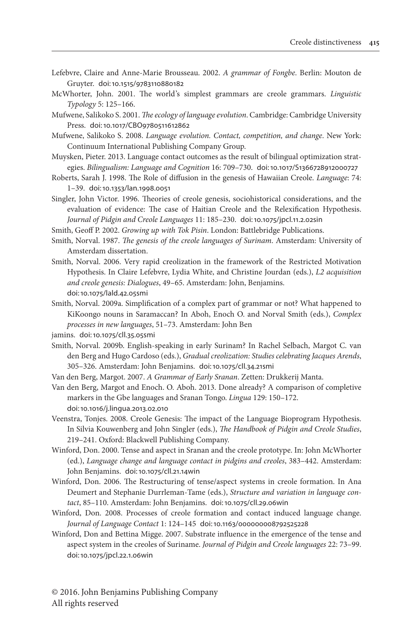- Lefebvre, Claire and Anne-Marie Brousseau. 2002. *A grammar of Fongbe*. Berlin: Mouton de Gruyter. doi:[10.1515/9783110880182](http://dx.doi.org/10.1515/9783110880182)
- McWhorter, John. 2001. The world's simplest grammars are creole grammars. *Linguistic Typology* 5: 125–166.
- Mufwene, Salikoko S. 2001. *The ecology of language evolution*. Cambridge: Cambridge University Press. doi:[10.1017/CBO9780511612862](http://dx.doi.org/10.1017/CBO9780511612862)
- Mufwene, Salikoko S. 2008. *Language evolution. Contact, competition, and change*. New York: Continuum International Publishing Company Group.
- Muysken, Pieter. 2013. Language contact outcomes as the result of bilingual optimization strategies. *Bilingualism: Language and Cognition* 16: 709–730. doi:[10.1017/S1366728912000727](http://dx.doi.org/10.1017/S1366728912000727)
- Roberts, Sarah J. 1998. The Role of diffusion in the genesis of Hawaiian Creole. *Language*: 74: 1–39. doi:[10.1353/lan.1998.0051](http://dx.doi.org/10.1353/lan.1998.0051)

Singler, John Victor. 1996. Theories of creole genesis, sociohistorical considerations, and the evaluation of evidence: The case of Haitian Creole and the Relexification Hypothesis. *Journal of Pidgin and Creole Languages* 11: 185–230. doi:[10.1075/jpcl.11.2.02sin](http://dx.doi.org/10.1075/jpcl.11.2.02sin)

Smith, Geoff P. 2002. *Growing up with Tok Pisin*. London: Battlebridge Publications.

- Smith, Norval. 1987. *The genesis of the creole languages of Surinam*. Amsterdam: University of Amsterdam dissertation.
- Smith, Norval. 2006. Very rapid creolization in the framework of the Restricted Motivation Hypothesis. In Claire Lefebvre, Lydia White, and Christine Jourdan (eds.), *L2 acquisition and creole genesis: Dialogues*, 49–65. Amsterdam: John, Benjamins. doi:[10.1075/lald.42.05smi](http://dx.doi.org/10.1075/lald.42.05smi)
- Smith, Norval. 2009a. Simplification of a complex part of grammar or not? What happened to KiKoongo nouns in Saramaccan? In Aboh, Enoch O. and Norval Smith (eds.), *Complex processes in new languages*, 51–73. Amsterdam: John Ben

jamins. doi:[10.1075/cll.35.05smi](http://dx.doi.org/10.1075/cll.35.05smi)

- Smith, Norval. 2009b. English-speaking in early Surinam? In Rachel Selbach, Margot C. van den Berg and Hugo Cardoso (eds.), *Gradual creolization: Studies celebrating Jacques Arends*, 305–326. Amsterdam: John Benjamins. doi:[10.1075/cll.34.21smi](http://dx.doi.org/10.1075/cll.34.21smi)
- Van den Berg, Margot. 2007. *A Grammar of Early Sranan*. Zetten: Drukkerij Manta.
- Van den Berg, Margot and Enoch. O. Aboh. 2013. Done already? A comparison of completive markers in the Gbe languages and Sranan Tongo. *Lingua* 129: 150–172. doi:[10.1016/j.lingua.2013.02.010](http://dx.doi.org/10.1016/j.lingua.2013.02.010)
- Veenstra, Tonjes. 2008. Creole Genesis: The impact of the Language Bioprogram Hypothesis. In Silvia Kouwenberg and John Singler (eds.), *The Handbook of Pidgin and Creole Studies*, 219–241. Oxford: Blackwell Publishing Company.
- Winford, Don. 2000. Tense and aspect in Sranan and the creole prototype. In: John McWhorter (ed.), *Language change and language contact in pidgins and creoles*, 383–442. Amsterdam: John Benjamins. doi:[10.1075/cll.21.14win](http://dx.doi.org/10.1075/cll.21.14win)
- Winford, Don. 2006. The Restructuring of tense/aspect systems in creole formation. In Ana Deumert and Stephanie Durrleman-Tame (eds.), *Structure and variation in language contact*, 85–110. Amsterdam: John Benjamins. doi:[10.1075/cll.29.06win](http://dx.doi.org/10.1075/cll.29.06win)
- Winford, Don. 2008. Processes of creole formation and contact induced language change. *Journal of Language Contact* 1: 124–145 doi:[10.1163/000000008792525228](http://dx.doi.org/10.1163/000000008792525228)
- Winford, Don and Bettina Migge. 2007. Substrate influence in the emergence of the tense and aspect system in the creoles of Suriname. *Journal of Pidgin and Creole languages* 22: 73–99. doi:[10.1075/jpcl.22.1.06win](http://dx.doi.org/10.1075/jpcl.22.1.06win)

© 2016. John Benjamins Publishing Company All rights reserved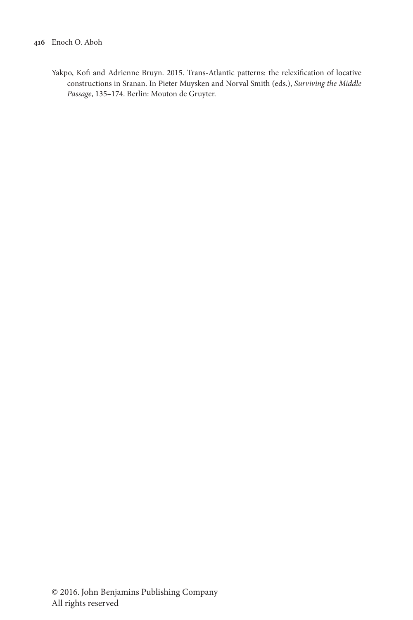Yakpo, Kofi and Adrienne Bruyn. 2015. Trans-Atlantic patterns: the relexification of locative constructions in Sranan. In Pieter Muysken and Norval Smith (eds.), *Surviving the Middle Passage*, 135–174. Berlin: Mouton de Gruyter.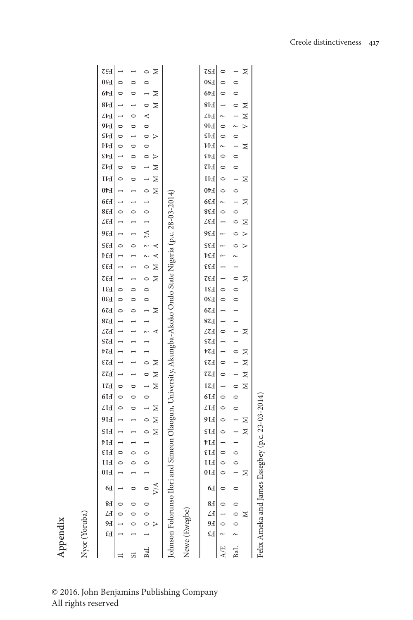| Nyor (Yoruba)                                   |                    |         |                     |                |                |          |         |            |                |                                                                                  |                   |                     |                 |                          |                          |                   |         |                 |                     |                 |                     |                    |                                              |                   |                           |                             |              |                 |                         |                        |                   |                          |                     |                             |         |              |                            |                      |                   |                          |                 |              |
|-------------------------------------------------|--------------------|---------|---------------------|----------------|----------------|----------|---------|------------|----------------|----------------------------------------------------------------------------------|-------------------|---------------------|-----------------|--------------------------|--------------------------|-------------------|---------|-----------------|---------------------|-----------------|---------------------|--------------------|----------------------------------------------|-------------------|---------------------------|-----------------------------|--------------|-----------------|-------------------------|------------------------|-------------------|--------------------------|---------------------|-----------------------------|---------|--------------|----------------------------|----------------------|-------------------|--------------------------|-----------------|--------------|
|                                                 |                    | Ρ6<br>Θ | $E\Delta$           | 8 <sub>d</sub> | 6 <sub>d</sub> | $_{E10}$ | F11     | <b>EI3</b> | FI4            | SI                                                                               | 9I <sub>d</sub>   | $L1\Delta$          | 6I <sub>d</sub> | EZI                      | EZZ                      | F23               | FZI     | 52 <sub>2</sub> | $Lz_1$              | E <sub>28</sub> | 67H                 | <b>E30</b>         | E35<br><b>L</b> 31                           |                   | ESE                       | 522<br>₽34                  |              | 9£H             | $E3\Delta$              | 6E<br>F38              | E40               | F41                      | F42                 | F43                         | F44     | StJ          | 9bH                        | ∠Þ∃                  | 8F <sub>d</sub>   | $6b$ H                   | <b>B20</b>      | $_{\rm L25}$ |
|                                                 |                    |         | $\circ$             |                |                |          | $\circ$ | $\circ$    |                |                                                                                  |                   | $\circ$             | $\circ$         | $\circ$                  |                          |                   |         |                 |                     |                 | $\circ$             | $\circ$<br>$\circ$ |                                              |                   |                           | $\circ$                     |              |                 | $\circ$                 |                        |                   | $\circ$                  | $\circ$             |                             | $\circ$ | $\circ$      | $\circ$                    |                      |                   | $\circ$                  | $\circ$         |              |
| 5                                               |                    |         |                     |                |                |          | $\circ$ | $\circ$    |                |                                                                                  |                   | $\circ$             | $\circ$         | $\circ$                  |                          |                   |         |                 |                     |                 | $\circ$             | $\circ$<br>$\circ$ |                                              |                   |                           | $\circ$                     |              |                 | $\circ$                 |                        |                   | $\circ$                  | $\circ$             | $\circ$                     | $\circ$ |              | $\circ$                    | $\circ$              |                   | $\circ$                  | $\circ$         |              |
| BaL                                             |                    |         | $0 \quad 0 \quad 0$ |                | УM             |          | $\circ$ | $\circ$    |                | Σ<br>$\circ$                                                                     | $\geq$<br>$\circ$ | $\overline{a}$<br>Σ | $\circ$         | $\geq$<br>$\overline{a}$ | $\geq$<br>$\circ$        | $\circ$<br>$\geq$ |         |                 | $\sim$<br>≺         |                 | $\overline{a}$<br>⊠ | $\circ$<br>$\circ$ | Σ<br>$\circ$                                 | $\geq$<br>$\circ$ | $\triangleleft$<br>$\sim$ | $\sim$<br>⋖                 | ₹            |                 | $\circ$                 |                        | $\geq$<br>$\circ$ | $\geq$<br>$\overline{a}$ | Σ<br>$\overline{a}$ | $\circ$<br>$\triangleright$ | $\circ$ | $\circ$<br>➢ | $\circ$                    | $\blacktriangleleft$ | $\circ$<br>Σ      | $\geq$<br>$\overline{ }$ | $\circ$         | Σ<br>$\circ$ |
| Johnson Folorunso Ilori ar                      |                    |         |                     |                |                |          |         |            |                | d Simeon Olaogun, University, Akungba-Akoko Ondo State Nigeria (p.c. 28-03-2014) |                   |                     |                 |                          |                          |                   |         |                 |                     |                 |                     |                    |                                              |                   |                           |                             |              |                 |                         |                        |                   |                          |                     |                             |         |              |                            |                      |                   |                          |                 |              |
| Newe (Ewegbe)                                   |                    |         |                     |                |                |          |         |            |                |                                                                                  |                   |                     |                 |                          |                          |                   |         |                 |                     |                 |                     |                    |                                              |                   |                           |                             |              |                 |                         |                        |                   |                          |                     |                             |         |              |                            |                      |                   |                          |                 |              |
|                                                 | $\epsilon_{\rm H}$ |         | $^{L1}_{H}$         | 8 <sub>d</sub> | 6 <sub>d</sub> | $_{E10}$ | F11     | EI3        | FI4            | 51 <sub>2</sub>                                                                  | 91 <sub>H</sub>   | L1                  | 6I <sub>d</sub> | EZI                      | EZZ                      | EZH               | FZI     | 52 <sub>2</sub> | Lz                  | 87 <sub>d</sub> | 67 <sub>d</sub>     | <b>DSO</b>         | $\overline{\text{c}}\text{c}$<br><b>I</b> Ed | EEH               |                           | 552<br>₽₹                   |              | 9E <sub>1</sub> | $E3\Delta$              | $66\text{H}$<br>$8\xi$ | $0\nu J$          | F41                      | $\tau_{\rm F}$      | F43                         | ₽44     | <b>F45</b>   | $9b$ H                     | ∠Þ∃                  | 8F <sub>d</sub>   | $6b$ H                   | 0S <sub>d</sub> | $_{\rm L2T}$ |
| A/E                                             |                    | $\circ$ |                     |                |                |          | $\circ$ | $\circ$    | $\overline{ }$ | $\circ$                                                                          | $\circ$           | $\circ$             | $\circ$         | $\overline{ }$           | $\circ$                  | $\circ$           |         |                 | $\circ$             | $\overline{ }$  | $\overline{ }$      | $\circ$<br>$\circ$ |                                              |                   |                           | ٨.<br>∼.                    | ٨.           |                 | $\circ$                 | $\sim$                 | $\circ$           | $\circ$                  | $\circ$             | $\circ$                     | n.      | $\circ$      | $\circ$                    | n.                   |                   | $\circ$                  | $\circ$         | $\circ$      |
| BaL                                             |                    |         | $\circ$<br>×        |                |                |          | $\circ$ | $\circ$    |                | Σ                                                                                | $\geq$            | $\circ$             | $\circ$         | $\geq$<br>$\circ$        | $\geq$<br>$\overline{a}$ | $_{\rm N}$ M      | $\circ$ |                 | $\overline{a}$<br>× |                 |                     | $\circ$<br>$\circ$ | Σ<br>$\circ$                                 |                   |                           | $\triangleright$<br>$\circ$ | ><br>$\circ$ |                 | $\circ$<br>Σ<br>$\circ$ | ×                      | $\circ$           | ×<br>$\overline{ }$      | $\circ$             | $\circ$                     | Z       | $\circ$      | $\triangleright$<br>$\sim$ | $\geq$               | $\geq$<br>$\circ$ | $\circ$                  | $\circ$         | Σ            |
| Felix Ameka and James Essegbey (p.c. 23-03-2014 |                    |         |                     |                |                |          |         |            |                |                                                                                  |                   |                     |                 |                          |                          |                   |         |                 |                     |                 |                     |                    |                                              |                   |                           |                             |              |                 |                         |                        |                   |                          |                     |                             |         |              |                            |                      |                   |                          |                 |              |

© 2016. John Benjamins Publishing Company All rights reserved

**Appendix**